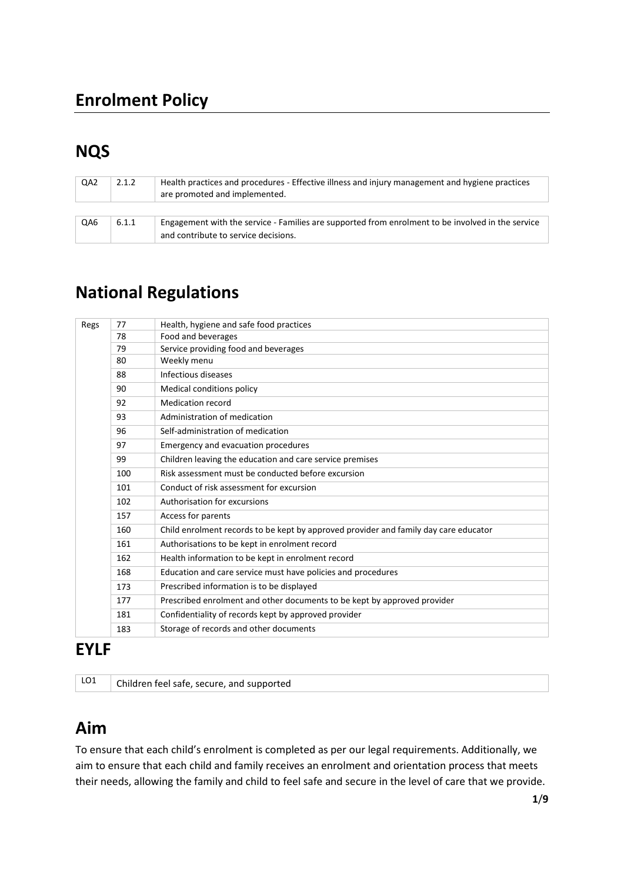# **NQS**

| QA <sub>2</sub> | 2.1.2 | Health practices and procedures - Effective illness and injury management and hygiene practices<br>are promoted and implemented. |
|-----------------|-------|----------------------------------------------------------------------------------------------------------------------------------|
|                 |       |                                                                                                                                  |
| QA6             | 6.1.1 | Engagement with the service - Families are supported from enrolment to be involved in the service                                |
|                 |       | and contribute to service decisions.                                                                                             |

# **National Regulations**

| Regs | 77  | Health, hygiene and safe food practices                                              |
|------|-----|--------------------------------------------------------------------------------------|
|      | 78  | Food and beverages                                                                   |
|      | 79  | Service providing food and beverages                                                 |
|      | 80  | Weekly menu                                                                          |
|      | 88  | Infectious diseases                                                                  |
|      | 90  | Medical conditions policy                                                            |
|      | 92  | <b>Medication record</b>                                                             |
|      | 93  | Administration of medication                                                         |
|      | 96  | Self-administration of medication                                                    |
|      | 97  | Emergency and evacuation procedures                                                  |
|      | 99  | Children leaving the education and care service premises                             |
|      | 100 | Risk assessment must be conducted before excursion                                   |
|      | 101 | Conduct of risk assessment for excursion                                             |
|      | 102 | Authorisation for excursions                                                         |
|      | 157 | Access for parents                                                                   |
|      | 160 | Child enrolment records to be kept by approved provider and family day care educator |
|      | 161 | Authorisations to be kept in enrolment record                                        |
|      | 162 | Health information to be kept in enrolment record                                    |
|      | 168 | Education and care service must have policies and procedures                         |
|      | 173 | Prescribed information is to be displayed                                            |
|      | 177 | Prescribed enrolment and other documents to be kept by approved provider             |
|      | 181 | Confidentiality of records kept by approved provider                                 |
|      | 183 | Storage of records and other documents                                               |

### **EYLF**

LO1 | Children feel safe, secure, and supported

# **Aim**

To ensure that each child's enrolment is completed as per our legal requirements. Additionally, we aim to ensure that each child and family receives an enrolment and orientation process that meets their needs, allowing the family and child to feel safe and secure in the level of care that we provide.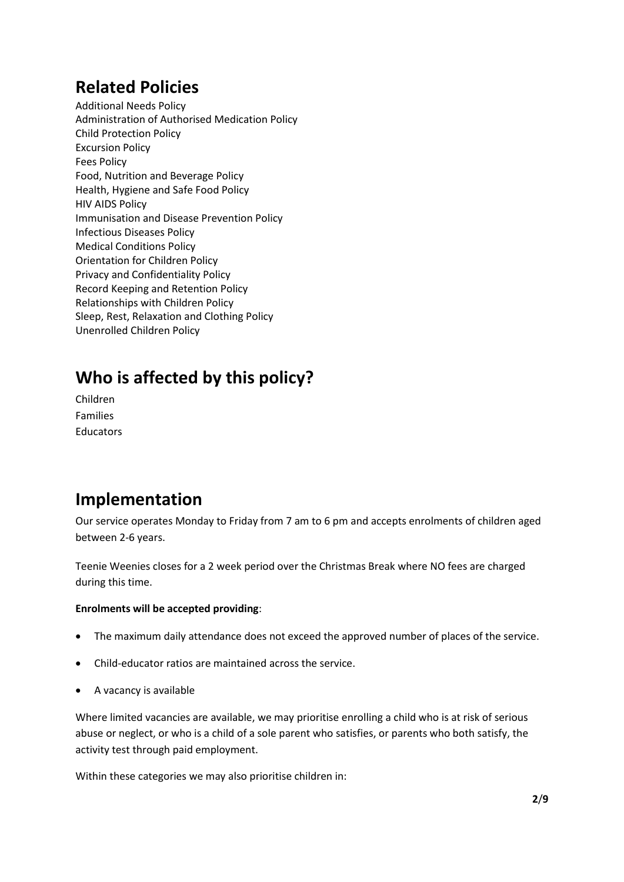## **Related Policies**

Additional Needs Policy Administration of Authorised Medication Policy Child Protection Policy Excursion Policy Fees Policy Food, Nutrition and Beverage Policy Health, Hygiene and Safe Food Policy HIV AIDS Policy Immunisation and Disease Prevention Policy Infectious Diseases Policy Medical Conditions Policy Orientation for Children Policy Privacy and Confidentiality Policy Record Keeping and Retention Policy Relationships with Children Policy Sleep, Rest, Relaxation and Clothing Policy Unenrolled Children Policy

# **Who is affected by this policy?**

Children Families Educators

## **Implementation**

Our service operates Monday to Friday from 7 am to 6 pm and accepts enrolments of children aged between 2-6 years.

Teenie Weenies closes for a 2 week period over the Christmas Break where NO fees are charged during this time.

#### **Enrolments will be accepted providing**:

- The maximum daily attendance does not exceed the approved number of places of the service.
- Child-educator ratios are maintained across the service.
- A vacancy is available

Where limited vacancies are available, we may prioritise enrolling a child who is at risk of serious abuse or neglect, or who is a child of a sole parent who satisfies, or parents who both satisfy, the activity test through paid employment.

Within these categories we may also prioritise children in: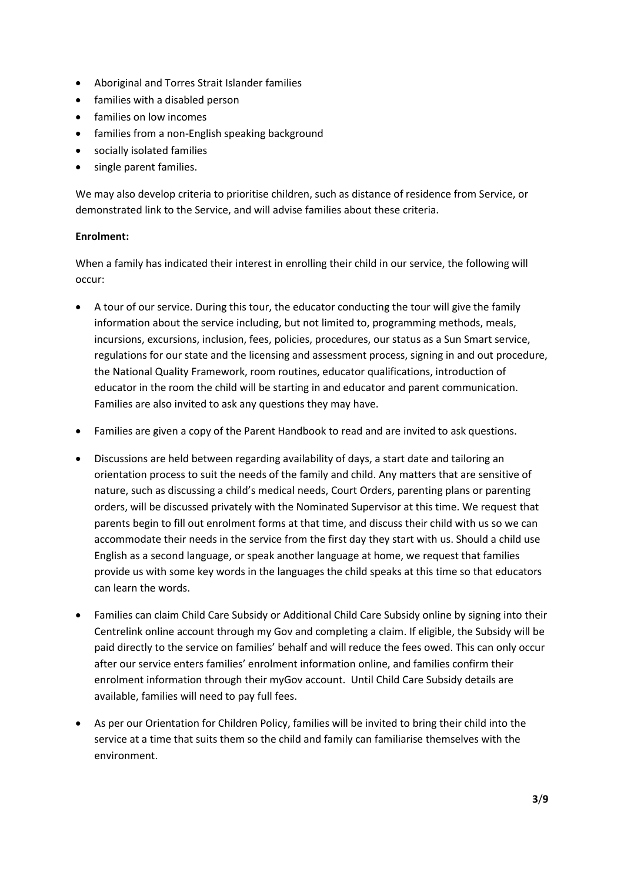- Aboriginal and Torres Strait Islander families
- families with a disabled person
- families on low incomes
- families from a non-English speaking background
- socially isolated families
- single parent families.

We may also develop criteria to prioritise children, such as distance of residence from Service, or demonstrated link to the Service, and will advise families about these criteria.

#### **Enrolment:**

When a family has indicated their interest in enrolling their child in our service, the following will occur:

- A tour of our service. During this tour, the educator conducting the tour will give the family information about the service including, but not limited to, programming methods, meals, incursions, excursions, inclusion, fees, policies, procedures, our status as a Sun Smart service, regulations for our state and the licensing and assessment process, signing in and out procedure, the National Quality Framework, room routines, educator qualifications, introduction of educator in the room the child will be starting in and educator and parent communication. Families are also invited to ask any questions they may have.
- Families are given a copy of the Parent Handbook to read and are invited to ask questions.
- Discussions are held between regarding availability of days, a start date and tailoring an orientation process to suit the needs of the family and child. Any matters that are sensitive of nature, such as discussing a child's medical needs, Court Orders, parenting plans or parenting orders, will be discussed privately with the Nominated Supervisor at this time. We request that parents begin to fill out enrolment forms at that time, and discuss their child with us so we can accommodate their needs in the service from the first day they start with us. Should a child use English as a second language, or speak another language at home, we request that families provide us with some key words in the languages the child speaks at this time so that educators can learn the words.
- Families can claim Child Care Subsidy or Additional Child Care Subsidy online by signing into their Centrelink online account through my Gov and completing a claim. If eligible, the Subsidy will be paid directly to the service on families' behalf and will reduce the fees owed. This can only occur after our service enters families' enrolment information online, and families confirm their enrolment information through their myGov account. Until Child Care Subsidy details are available, families will need to pay full fees.
- As per our Orientation for Children Policy, families will be invited to bring their child into the service at a time that suits them so the child and family can familiarise themselves with the environment.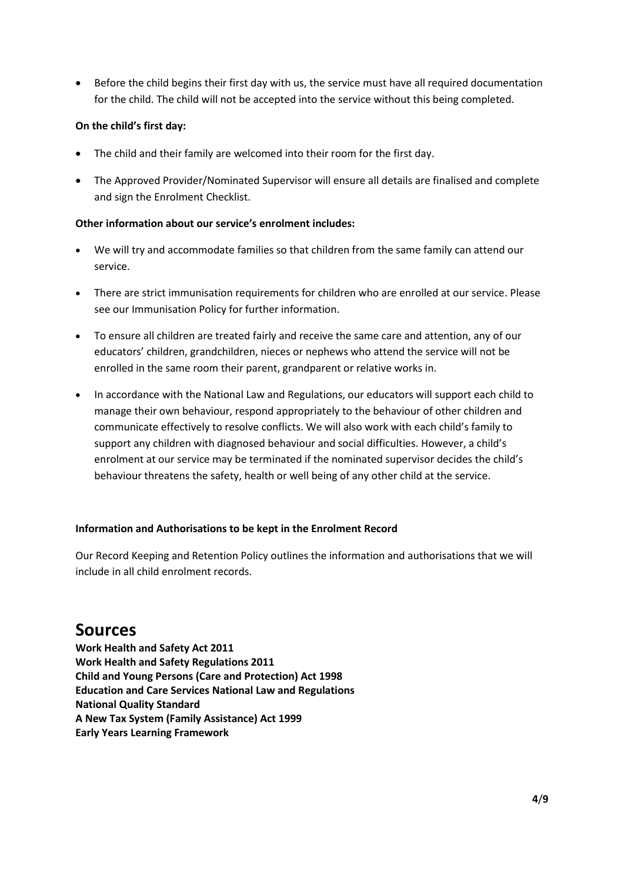• Before the child begins their first day with us, the service must have all required documentation for the child. The child will not be accepted into the service without this being completed.

#### **On the child's first day:**

- The child and their family are welcomed into their room for the first day.
- The Approved Provider/Nominated Supervisor will ensure all details are finalised and complete and sign the Enrolment Checklist.

#### **Other information about our service's enrolment includes:**

- We will try and accommodate families so that children from the same family can attend our service.
- There are strict immunisation requirements for children who are enrolled at our service. Please see our Immunisation Policy for further information.
- To ensure all children are treated fairly and receive the same care and attention, any of our educators' children, grandchildren, nieces or nephews who attend the service will not be enrolled in the same room their parent, grandparent or relative works in.
- In accordance with the National Law and Regulations, our educators will support each child to manage their own behaviour, respond appropriately to the behaviour of other children and communicate effectively to resolve conflicts. We will also work with each child's family to support any children with diagnosed behaviour and social difficulties. However, a child's enrolment at our service may be terminated if the nominated supervisor decides the child's behaviour threatens the safety, health or well being of any other child at the service.

#### **Information and Authorisations to be kept in the Enrolment Record**

Our Record Keeping and Retention Policy outlines the information and authorisations that we will include in all child enrolment records.

### **Sources**

**Work Health and Safety Act 2011 Work Health and Safety Regulations 2011 Child and Young Persons (Care and Protection) Act 1998 Education and Care Services National Law and Regulations National Quality Standard A New Tax System (Family Assistance) Act 1999 Early Years Learning Framework**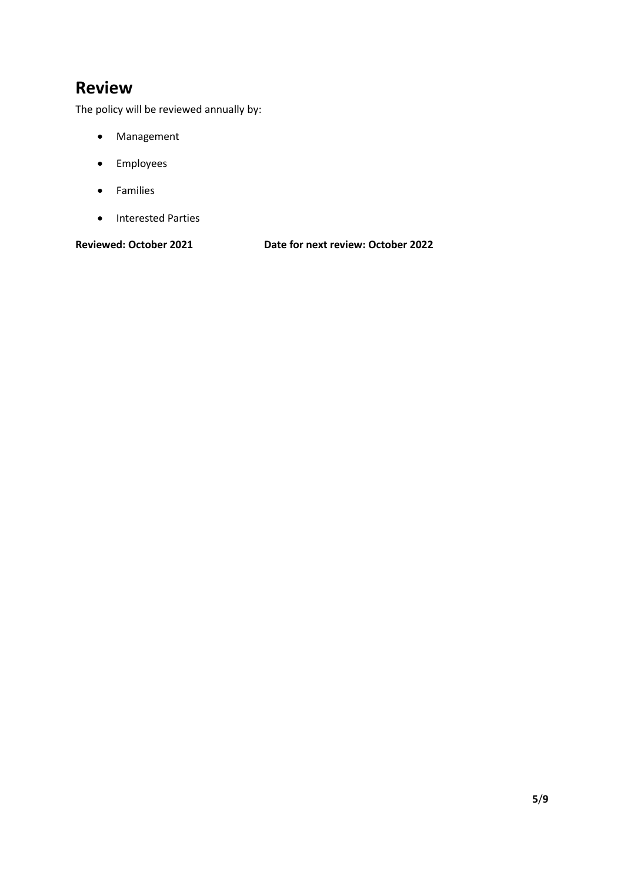## **Review**

The policy will be reviewed annually by:

- Management
- Employees
- Families
- Interested Parties

**Reviewed: October 2021 Date for next review: October 2022**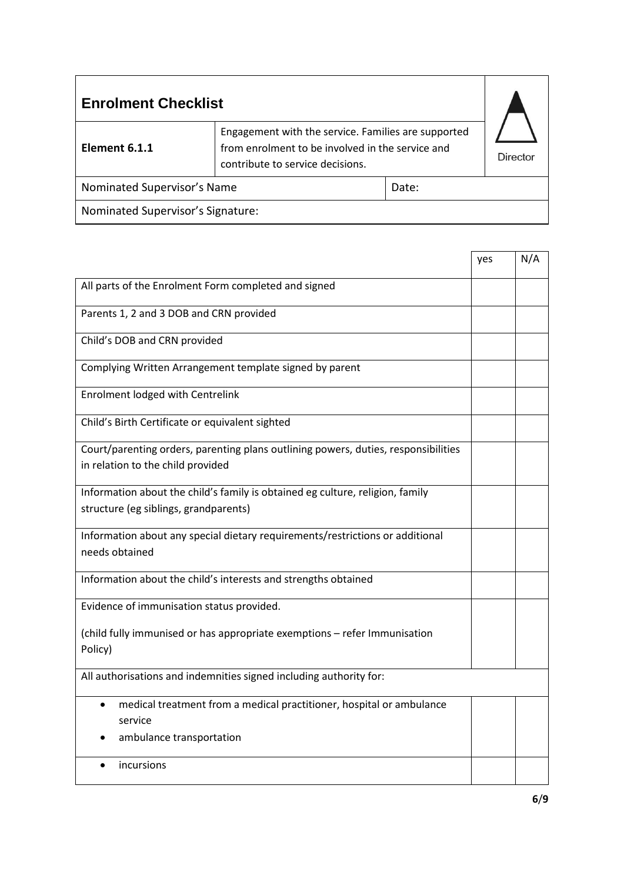| <b>Enrolment Checklist</b>           |                                                                                                                                             |  |  |
|--------------------------------------|---------------------------------------------------------------------------------------------------------------------------------------------|--|--|
| Element 6.1.1                        | Engagement with the service. Families are supported<br>from enrolment to be involved in the service and<br>contribute to service decisions. |  |  |
| Nominated Supervisor's Name<br>Date: |                                                                                                                                             |  |  |
| Nominated Supervisor's Signature:    |                                                                                                                                             |  |  |

┱

 $\mathbf{r}$ 

|                                                                                                                          | yes | N/A |
|--------------------------------------------------------------------------------------------------------------------------|-----|-----|
| All parts of the Enrolment Form completed and signed                                                                     |     |     |
| Parents 1, 2 and 3 DOB and CRN provided                                                                                  |     |     |
| Child's DOB and CRN provided                                                                                             |     |     |
| Complying Written Arrangement template signed by parent                                                                  |     |     |
| <b>Enrolment lodged with Centrelink</b>                                                                                  |     |     |
| Child's Birth Certificate or equivalent sighted                                                                          |     |     |
| Court/parenting orders, parenting plans outlining powers, duties, responsibilities<br>in relation to the child provided  |     |     |
| Information about the child's family is obtained eg culture, religion, family<br>structure (eg siblings, grandparents)   |     |     |
| Information about any special dietary requirements/restrictions or additional<br>needs obtained                          |     |     |
| Information about the child's interests and strengths obtained                                                           |     |     |
| Evidence of immunisation status provided.                                                                                |     |     |
| (child fully immunised or has appropriate exemptions - refer Immunisation<br>Policy)                                     |     |     |
| All authorisations and indemnities signed including authority for:                                                       |     |     |
| medical treatment from a medical practitioner, hospital or ambulance<br>$\bullet$<br>service<br>ambulance transportation |     |     |
| incursions                                                                                                               |     |     |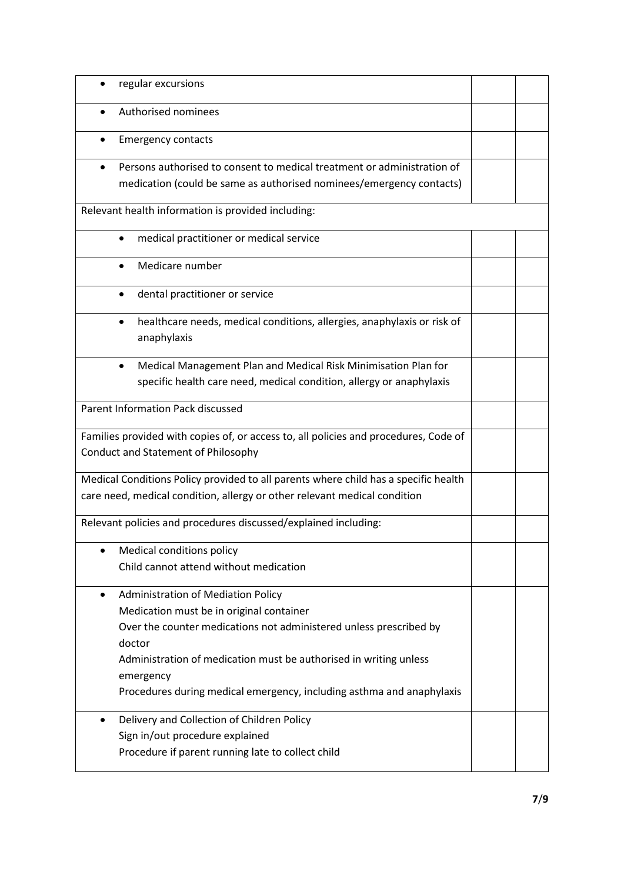| regular excursions                                                                                                                                                                                                                                                                                                                            |  |
|-----------------------------------------------------------------------------------------------------------------------------------------------------------------------------------------------------------------------------------------------------------------------------------------------------------------------------------------------|--|
| Authorised nominees<br>$\bullet$                                                                                                                                                                                                                                                                                                              |  |
| <b>Emergency contacts</b>                                                                                                                                                                                                                                                                                                                     |  |
| Persons authorised to consent to medical treatment or administration of                                                                                                                                                                                                                                                                       |  |
| medication (could be same as authorised nominees/emergency contacts)                                                                                                                                                                                                                                                                          |  |
| Relevant health information is provided including:                                                                                                                                                                                                                                                                                            |  |
| medical practitioner or medical service<br>$\bullet$                                                                                                                                                                                                                                                                                          |  |
| Medicare number                                                                                                                                                                                                                                                                                                                               |  |
| dental practitioner or service                                                                                                                                                                                                                                                                                                                |  |
| healthcare needs, medical conditions, allergies, anaphylaxis or risk of<br>٠<br>anaphylaxis                                                                                                                                                                                                                                                   |  |
| Medical Management Plan and Medical Risk Minimisation Plan for<br>٠<br>specific health care need, medical condition, allergy or anaphylaxis                                                                                                                                                                                                   |  |
| <b>Parent Information Pack discussed</b>                                                                                                                                                                                                                                                                                                      |  |
| Families provided with copies of, or access to, all policies and procedures, Code of<br>Conduct and Statement of Philosophy                                                                                                                                                                                                                   |  |
| Medical Conditions Policy provided to all parents where child has a specific health<br>care need, medical condition, allergy or other relevant medical condition                                                                                                                                                                              |  |
| Relevant policies and procedures discussed/explained including:                                                                                                                                                                                                                                                                               |  |
| Medical conditions policy<br>$\bullet$<br>Child cannot attend without medication                                                                                                                                                                                                                                                              |  |
| <b>Administration of Mediation Policy</b><br>$\bullet$<br>Medication must be in original container<br>Over the counter medications not administered unless prescribed by<br>doctor<br>Administration of medication must be authorised in writing unless<br>emergency<br>Procedures during medical emergency, including asthma and anaphylaxis |  |
| Delivery and Collection of Children Policy<br>$\bullet$<br>Sign in/out procedure explained<br>Procedure if parent running late to collect child                                                                                                                                                                                               |  |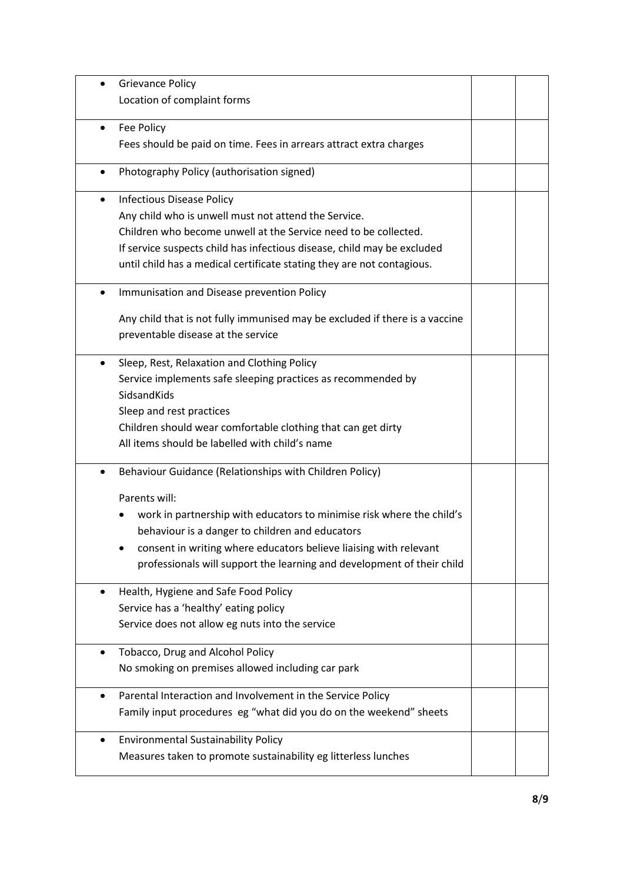|           | <b>Grievance Policy</b>                                                     |  |
|-----------|-----------------------------------------------------------------------------|--|
|           | Location of complaint forms                                                 |  |
| $\bullet$ | Fee Policy                                                                  |  |
|           | Fees should be paid on time. Fees in arrears attract extra charges          |  |
| $\bullet$ | Photography Policy (authorisation signed)                                   |  |
|           | <b>Infectious Disease Policy</b>                                            |  |
|           | Any child who is unwell must not attend the Service.                        |  |
|           | Children who become unwell at the Service need to be collected.             |  |
|           | If service suspects child has infectious disease, child may be excluded     |  |
|           | until child has a medical certificate stating they are not contagious.      |  |
| $\bullet$ | Immunisation and Disease prevention Policy                                  |  |
|           | Any child that is not fully immunised may be excluded if there is a vaccine |  |
|           | preventable disease at the service                                          |  |
|           | Sleep, Rest, Relaxation and Clothing Policy                                 |  |
|           | Service implements safe sleeping practices as recommended by                |  |
|           | SidsandKids                                                                 |  |
|           | Sleep and rest practices                                                    |  |
|           | Children should wear comfortable clothing that can get dirty                |  |
|           | All items should be labelled with child's name                              |  |
|           | Behaviour Guidance (Relationships with Children Policy)                     |  |
|           | Parents will:                                                               |  |
|           | work in partnership with educators to minimise risk where the child's       |  |
|           | behaviour is a danger to children and educators                             |  |
|           | consent in writing where educators believe liaising with relevant           |  |
|           | professionals will support the learning and development of their child      |  |
|           | Health, Hygiene and Safe Food Policy                                        |  |
|           | Service has a 'healthy' eating policy                                       |  |
|           | Service does not allow eg nuts into the service                             |  |
|           | Tobacco, Drug and Alcohol Policy                                            |  |
|           | No smoking on premises allowed including car park                           |  |
|           | Parental Interaction and Involvement in the Service Policy                  |  |
|           | Family input procedures eg "what did you do on the weekend" sheets          |  |
|           | <b>Environmental Sustainability Policy</b>                                  |  |
|           | Measures taken to promote sustainability eg litterless lunches              |  |